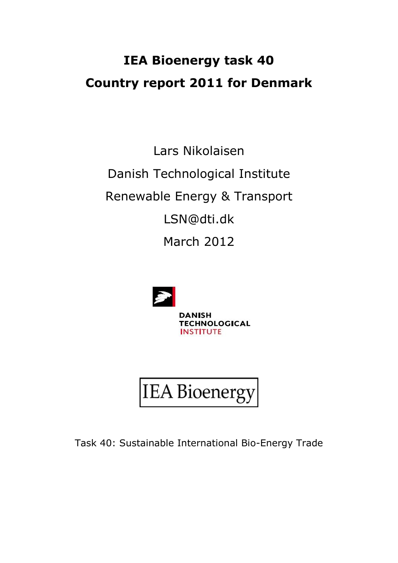# **IEA Bioenergy task 40 Country report 2011 for Denmark**

Lars Nikolaisen Danish Technological Institute Renewable Energy & Transport LSN@dti.dk March 2012



**DANISH TECHNOLOGICAL INSTITUTE** 



Task 40: Sustainable International Bio-Energy Trade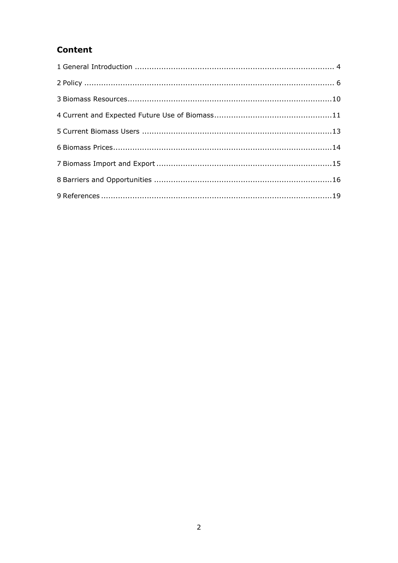# **Content**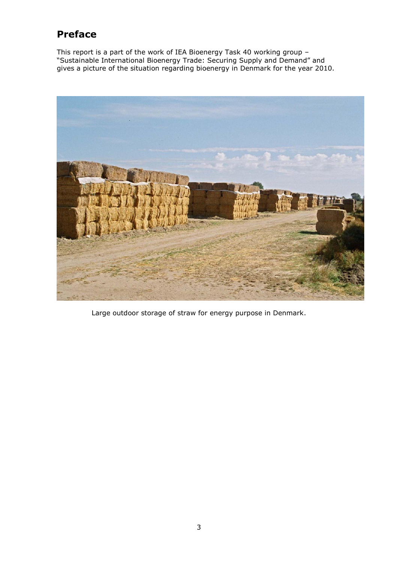# **Preface**

This report is a part of the work of IEA Bioenergy Task 40 working group – "Sustainable International Bioenergy Trade: Securing Supply and Demand" and gives a picture of the situation regarding bioenergy in Denmark for the year 2010.



Large outdoor storage of straw for energy purpose in Denmark.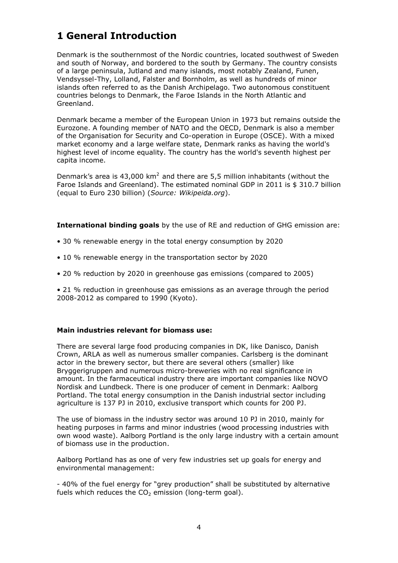# **1 General Introduction**

Denmark is the southernmost of the Nordic countries, located southwest of Sweden and south of Norway, and bordered to the south by Germany. The country consists of a large peninsula, Jutland and many islands, most notably Zealand, Funen, Vendsyssel-Thy, Lolland, Falster and Bornholm, as well as hundreds of minor islands often referred to as the Danish Archipelago. Two autonomous constituent countries belongs to Denmark, the Faroe Islands in the North Atlantic and Greenland.

Denmark became a member of the European Union in 1973 but remains outside the Eurozone. A founding member of NATO and the OECD, Denmark is also a member of the Organisation for Security and Co-operation in Europe (OSCE). With a mixed market economy and a large welfare state, Denmark ranks as having the world's highest level of income equality. The country has the world's seventh highest per capita income.

Denmark's area is 43,000  $km^2$  and there are 5,5 million inhabitants (without the Faroe Islands and Greenland). The estimated nominal GDP in 2011 is \$ 310.7 billion (equal to Euro 230 billion) (*Source: Wikipeida.org*).

**International binding goals** by the use of RE and reduction of GHG emission are:

- 30 % renewable energy in the total energy consumption by 2020
- 10 % renewable energy in the transportation sector by 2020
- 20 % reduction by 2020 in greenhouse gas emissions (compared to 2005)

• 21 % reduction in greenhouse gas emissions as an average through the period 2008-2012 as compared to 1990 (Kyoto).

### **Main industries relevant for biomass use:**

There are several large food producing companies in DK, like Danisco, Danish Crown, ARLA as well as numerous smaller companies. Carlsberg is the dominant actor in the brewery sector, but there are several others (smaller) like Bryggerigruppen and numerous micro-breweries with no real significance in amount. In the farmaceutical industry there are important companies like NOVO Nordisk and Lundbeck. There is one producer of cement in Denmark: Aalborg Portland. The total energy consumption in the Danish industrial sector including agriculture is 137 PJ in 2010, exclusive transport which counts for 200 PJ.

The use of biomass in the industry sector was around 10 PJ in 2010, mainly for heating purposes in farms and minor industries (wood processing industries with own wood waste). Aalborg Portland is the only large industry with a certain amount of biomass use in the production.

Aalborg Portland has as one of very few industries set up goals for energy and environmental management:

- 40% of the fuel energy for "grey production" shall be substituted by alternative fuels which reduces the  $CO<sub>2</sub>$  emission (long-term goal).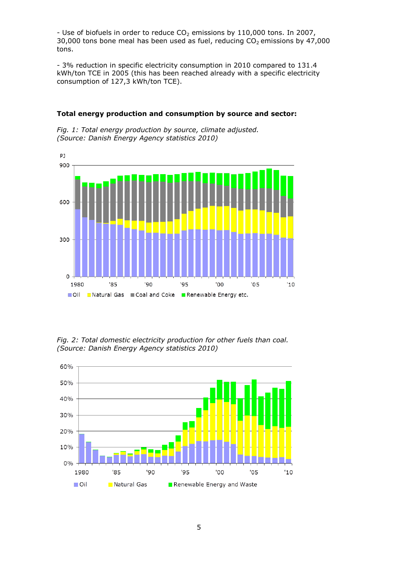- Use of biofuels in order to reduce  $CO<sub>2</sub>$  emissions by 110,000 tons. In 2007, 30,000 tons bone meal has been used as fuel, reducing  $CO<sub>2</sub>$  emissions by 47,000 tons.

- 3% reduction in specific electricity consumption in 2010 compared to 131.4 kWh/ton TCE in 2005 (this has been reached already with a specific electricity consumption of 127,3 kWh/ton TCE).



#### **Total energy production and consumption by source and sector:**

*Fig. 1: Total energy production by source, climate adjusted. (Source: Danish Energy Agency statistics 2010)*

*Fig. 2: Total domestic electricity production for other fuels than coal. (Source: Danish Energy Agency statistics 2010)*

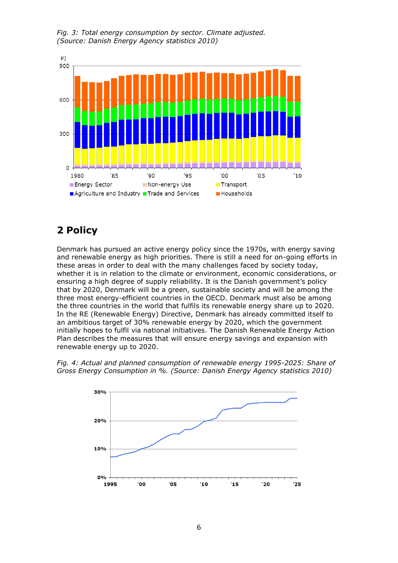

*Fig. 3: Total energy consumption by sector. Climate adjusted. (Source: Danish Energy Agency statistics 2010)*

# **2 Policy**

Denmark has pursued an active energy policy since the 1970s, with energy saving and renewable energy as high priorities. There is still a need for on-going efforts in these areas in order to deal with the many challenges faced by society today, whether it is in relation to the climate or environment, economic considerations, or ensuring a high degree of supply reliability. It is the Danish government's policy that by 2020, Denmark will be a green, sustainable society and will be among the three most energy-efficient countries in the OECD. Denmark must also be among the three countries in the world that fulfils its renewable energy share up to 2020. In the RE (Renewable Energy) Directive, Denmark has already committed itself to an ambitious target of 30% renewable energy by 2020, which the government initially hopes to fulfil via national initiatives. The Danish Renewable Energy Action Plan describes the measures that will ensure energy savings and expansion with renewable energy up to 2020.



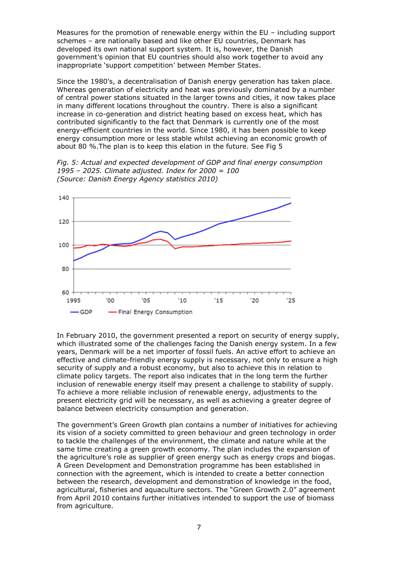Measures for the promotion of renewable energy within the EU – including support schemes – are nationally based and like other EU countries, Denmark has developed its own national support system. It is, however, the Danish government"s opinion that EU countries should also work together to avoid any inappropriate "support competition" between Member States.

Since the 1980's, a decentralisation of Danish energy generation has taken place. Whereas generation of electricity and heat was previously dominated by a number of central power stations situated in the larger towns and cities, it now takes place in many different locations throughout the country. There is also a significant increase in co-generation and district heating based on excess heat, which has contributed significantly to the fact that Denmark is currently one of the most energy-efficient countries in the world. Since 1980, it has been possible to keep energy consumption more or less stable whilst achieving an economic growth of about 80 %.The plan is to keep this elation in the future. See Fig 5

*Fig. 5: Actual and expected development of GDP and final energy consumption 1995 – 2025. Climate adjusted. Index for 2000 = 100 (Source: Danish Energy Agency statistics 2010)*



In February 2010, the government presented a report on security of energy supply, which illustrated some of the challenges facing the Danish energy system. In a few years, Denmark will be a net importer of fossil fuels. An active effort to achieve an effective and climate-friendly energy supply is necessary, not only to ensure a high security of supply and a robust economy, but also to achieve this in relation to climate policy targets. The report also indicates that in the long term the further inclusion of renewable energy itself may present a challenge to stability of supply. To achieve a more reliable inclusion of renewable energy, adjustments to the present electricity grid will be necessary, as well as achieving a greater degree of balance between electricity consumption and generation.

The government's Green Growth plan contains a number of initiatives for achieving its vision of a society committed to green behaviour and green technology in order to tackle the challenges of the environment, the climate and nature while at the same time creating a green growth economy. The plan includes the expansion of the agriculture"s role as supplier of green energy such as energy crops and biogas. A Green Development and Demonstration programme has been established in connection with the agreement, which is intended to create a better connection between the research, development and demonstration of knowledge in the food, agricultural, fisheries and aquaculture sectors. The "Green Growth 2.0" agreement from April 2010 contains further initiatives intended to support the use of biomass from agriculture.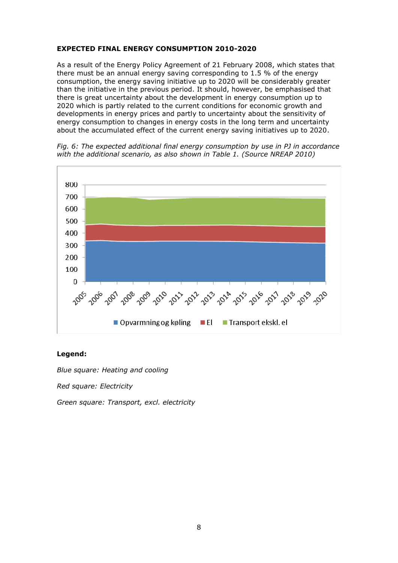### **EXPECTED FINAL ENERGY CONSUMPTION 2010-2020**

As a result of the Energy Policy Agreement of 21 February 2008, which states that there must be an annual energy saving corresponding to 1.5 % of the energy consumption, the energy saving initiative up to 2020 will be considerably greater than the initiative in the previous period. It should, however, be emphasised that there is great uncertainty about the development in energy consumption up to 2020 which is partly related to the current conditions for economic growth and developments in energy prices and partly to uncertainty about the sensitivity of energy consumption to changes in energy costs in the long term and uncertainty about the accumulated effect of the current energy saving initiatives up to 2020.



*Fig. 6: The expected additional final energy consumption by use in PJ in accordance with the additional scenario, as also shown in Table 1. (Source NREAP 2010)*

### **Legend:**

*Blue square: Heating and cooling*

*Red square: Electricity*

*Green square: Transport, excl. electricity*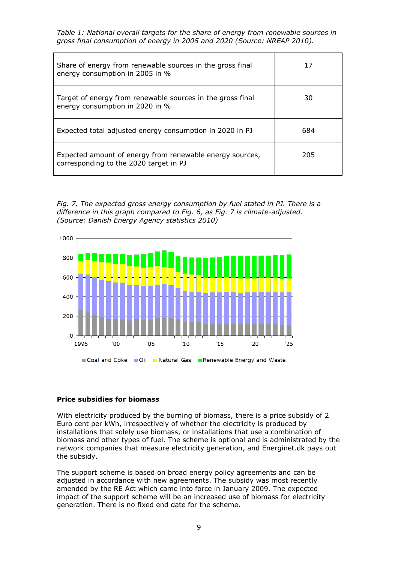*Table 1: National overall targets for the share of energy from renewable sources in gross final consumption of energy in 2005 and 2020 (Source: NREAP 2010).*

| Share of energy from renewable sources in the gross final<br>energy consumption in 2005 in %       | 17  |
|----------------------------------------------------------------------------------------------------|-----|
| Target of energy from renewable sources in the gross final<br>energy consumption in 2020 in %      | 30  |
| Expected total adjusted energy consumption in 2020 in PJ                                           | 684 |
| Expected amount of energy from renewable energy sources,<br>corresponding to the 2020 target in PJ | 205 |





### **Price subsidies for biomass**

With electricity produced by the burning of biomass, there is a price subsidy of 2 Euro cent per kWh, irrespectively of whether the electricity is produced by installations that solely use biomass, or installations that use a combination of biomass and other types of fuel. The scheme is optional and is administrated by the network companies that measure electricity generation, and Energinet.dk pays out the subsidy.

The support scheme is based on broad energy policy agreements and can be adjusted in accordance with new agreements. The subsidy was most recently amended by the RE Act which came into force in January 2009. The expected impact of the support scheme will be an increased use of biomass for electricity generation. There is no fixed end date for the scheme.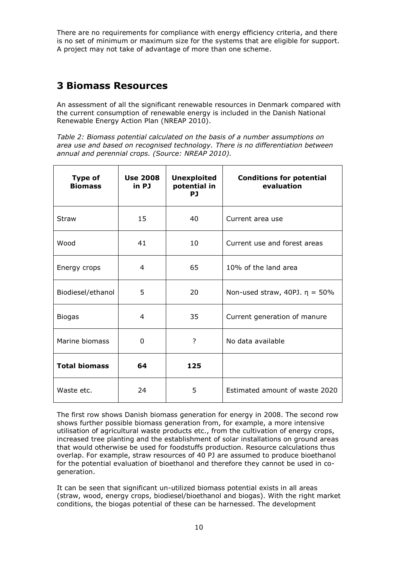There are no requirements for compliance with energy efficiency criteria, and there is no set of minimum or maximum size for the systems that are eligible for support. A project may not take of advantage of more than one scheme.

### **3 Biomass Resources**

An assessment of all the significant renewable resources in Denmark compared with the current consumption of renewable energy is included in the Danish National Renewable Energy Action Plan (NREAP 2010).

*Table 2: Biomass potential calculated on the basis of a number assumptions on area use and based on recognised technology. There is no differentiation between annual and perennial crops. (Source: NREAP 2010).*

| <b>Type of</b><br><b>Biomass</b> | <b>Use 2008</b><br>in PJ | <b>Unexploited</b><br>potential in<br>PJ | <b>Conditions for potential</b><br>evaluation |  |
|----------------------------------|--------------------------|------------------------------------------|-----------------------------------------------|--|
| <b>Straw</b>                     | 15                       | 40                                       | Current area use                              |  |
| Wood                             | 41                       | 10                                       | Current use and forest areas                  |  |
| Energy crops                     | 4                        | 65                                       | 10% of the land area                          |  |
| Biodiesel/ethanol                | 5                        | 20                                       | Non-used straw, 40PJ. $\eta = 50\%$           |  |
| <b>Biogas</b>                    | 4                        | 35                                       | Current generation of manure                  |  |
| Marine biomass                   | 0                        | ?                                        | No data available                             |  |
| <b>Total biomass</b>             | 64                       | 125                                      |                                               |  |
| Waste etc.                       | 24                       | 5                                        | Estimated amount of waste 2020                |  |

The first row shows Danish biomass generation for energy in 2008. The second row shows further possible biomass generation from, for example, a more intensive utilisation of agricultural waste products etc., from the cultivation of energy crops, increased tree planting and the establishment of solar installations on ground areas that would otherwise be used for foodstuffs production. Resource calculations thus overlap. For example, straw resources of 40 PJ are assumed to produce bioethanol for the potential evaluation of bioethanol and therefore they cannot be used in cogeneration.

It can be seen that significant un-utilized biomass potential exists in all areas (straw, wood, energy crops, biodiesel/bioethanol and biogas). With the right market conditions, the biogas potential of these can be harnessed. The development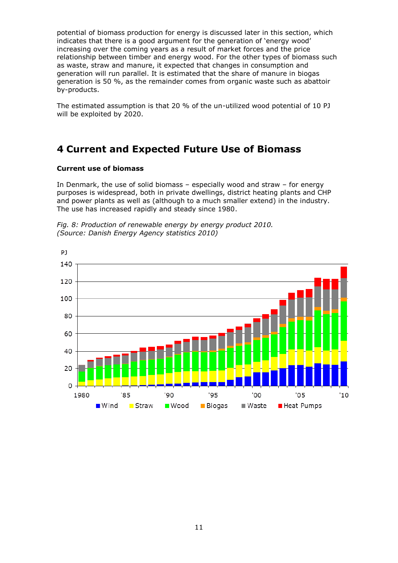potential of biomass production for energy is discussed later in this section, which indicates that there is a good argument for the generation of "energy wood" increasing over the coming years as a result of market forces and the price relationship between timber and energy wood. For the other types of biomass such as waste, straw and manure, it expected that changes in consumption and generation will run parallel. It is estimated that the share of manure in biogas generation is 50 %, as the remainder comes from organic waste such as abattoir by-products.

The estimated assumption is that 20 % of the un-utilized wood potential of 10 PJ will be exploited by 2020.

### **4 Current and Expected Future Use of Biomass**

### **Current use of biomass**

In Denmark, the use of solid biomass – especially wood and straw – for energy purposes is widespread, both in private dwellings, district heating plants and CHP and power plants as well as (although to a much smaller extend) in the industry. The use has increased rapidly and steady since 1980.



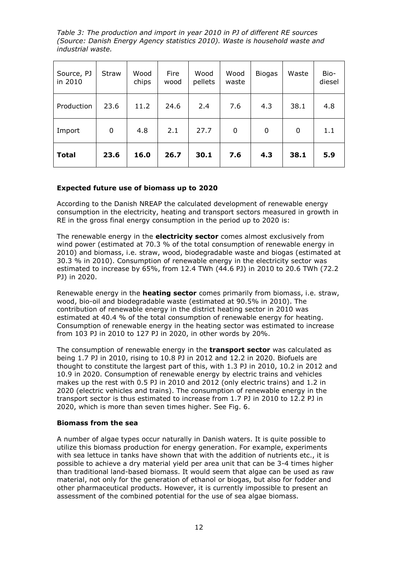*Table 3: The production and import in year 2010 in PJ of different RE sources (Source: Danish Energy Agency statistics 2010). Waste is household waste and industrial waste.*

| Source, PJ<br>in 2010 | Straw       | Wood<br>chips | Fire<br>wood | Wood<br>pellets | Wood<br>waste | <b>Biogas</b> | Waste | Bio-<br>diesel |
|-----------------------|-------------|---------------|--------------|-----------------|---------------|---------------|-------|----------------|
| Production            | 23.6        | 11.2          | 24.6         | 2.4             | 7.6           | 4.3           | 38.1  | 4.8            |
| Import                | $\mathbf 0$ | 4.8           | 2.1          | 27.7            | 0             | 0             | 0     | 1.1            |
| <b>Total</b>          | 23.6        | 16.0          | 26.7         | 30.1            | 7.6           | 4.3           | 38.1  | 5.9            |

### **Expected future use of biomass up to 2020**

According to the Danish NREAP the calculated development of renewable energy consumption in the electricity, heating and transport sectors measured in growth in RE in the gross final energy consumption in the period up to 2020 is:

The renewable energy in the **electricity sector** comes almost exclusively from wind power (estimated at 70.3 % of the total consumption of renewable energy in 2010) and biomass, i.e. straw, wood, biodegradable waste and biogas (estimated at 30.3 % in 2010). Consumption of renewable energy in the electricity sector was estimated to increase by 65%, from 12.4 TWh (44.6 PJ) in 2010 to 20.6 TWh (72.2 PJ) in 2020.

Renewable energy in the **heating sector** comes primarily from biomass, i.e. straw, wood, bio-oil and biodegradable waste (estimated at 90.5% in 2010). The contribution of renewable energy in the district heating sector in 2010 was estimated at 40.4 % of the total consumption of renewable energy for heating. Consumption of renewable energy in the heating sector was estimated to increase from 103 PJ in 2010 to 127 PJ in 2020, in other words by 20%.

The consumption of renewable energy in the **transport sector** was calculated as being 1.7 PJ in 2010, rising to 10.8 PJ in 2012 and 12.2 in 2020. Biofuels are thought to constitute the largest part of this, with 1.3 PJ in 2010, 10.2 in 2012 and 10.9 in 2020. Consumption of renewable energy by electric trains and vehicles makes up the rest with 0.5 PJ in 2010 and 2012 (only electric trains) and 1.2 in 2020 (electric vehicles and trains). The consumption of renewable energy in the transport sector is thus estimated to increase from 1.7 PJ in 2010 to 12.2 PJ in 2020, which is more than seven times higher. See Fig. 6.

### **Biomass from the sea**

A number of algae types occur naturally in Danish waters. It is quite possible to utilize this biomass production for energy generation. For example, experiments with sea lettuce in tanks have shown that with the addition of nutrients etc., it is possible to achieve a dry material yield per area unit that can be 3-4 times higher than traditional land-based biomass. It would seem that algae can be used as raw material, not only for the generation of ethanol or biogas, but also for fodder and other pharmaceutical products. However, it is currently impossible to present an assessment of the combined potential for the use of sea algae biomass.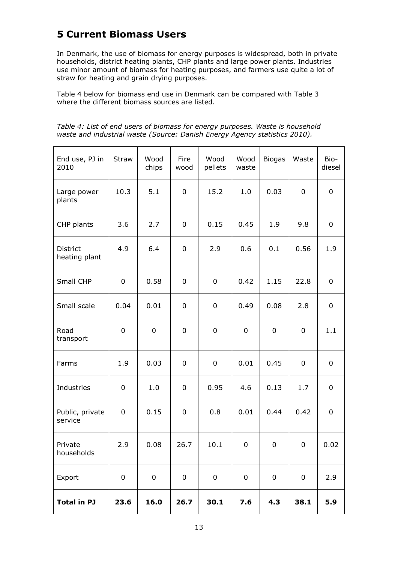# **5 Current Biomass Users**

In Denmark, the use of biomass for energy purposes is widespread, both in private households, district heating plants, CHP plants and large power plants. Industries use minor amount of biomass for heating purposes, and farmers use quite a lot of straw for heating and grain drying purposes.

Table 4 below for biomass end use in Denmark can be compared with Table 3 where the different biomass sources are listed.

|                                                                            | Table 4: List of end users of biomass for energy purposes. Waste is household |
|----------------------------------------------------------------------------|-------------------------------------------------------------------------------|
| waste and industrial waste (Source: Danish Energy Agency statistics 2010). |                                                                               |

| End use, PJ in<br>2010     | Straw       | Wood<br>chips | Fire<br>wood | Wood<br>pellets | Wood<br>waste | <b>Biogas</b> | Waste | Bio-<br>diesel |
|----------------------------|-------------|---------------|--------------|-----------------|---------------|---------------|-------|----------------|
| Large power<br>plants      | 10.3        | 5.1           | 0            | 15.2            | 1.0           | 0.03          | 0     | $\mathbf 0$    |
| CHP plants                 | 3.6         | 2.7           | 0            | 0.15            | 0.45          | 1.9           | 9.8   | 0              |
| District<br>heating plant  | 4.9         | 6.4           | 0            | 2.9             | 0.6           | 0.1           | 0.56  | 1.9            |
| Small CHP                  | 0           | 0.58          | 0            | 0               | 0.42          | 1.15          | 22.8  | 0              |
| Small scale                | 0.04        | 0.01          | 0            | 0               | 0.49          | 0.08          | 2.8   | 0              |
| Road<br>transport          | 0           | 0             | 0            | 0               | $\mathbf 0$   | 0             | 0     | 1.1            |
| Farms                      | 1.9         | 0.03          | 0            | 0               | 0.01          | 0.45          | 0     | 0              |
| Industries                 | 0           | 1.0           | 0            | 0.95            | 4.6           | 0.13          | 1.7   | 0              |
| Public, private<br>service | 0           | 0.15          | 0            | 0.8             | 0.01          | 0.44          | 0.42  | $\mathbf 0$    |
| Private<br>households      | 2.9         | 0.08          | 26.7         | 10.1            | 0             | 0             | 0     | 0.02           |
| Export                     | $\mathbf 0$ | 0             | $\mathbf 0$  | 0               | $\pmb{0}$     | 0             | 0     | 2.9            |
| <b>Total in PJ</b>         | 23.6        | 16.0          | 26.7         | 30.1            | 7.6           | 4.3           | 38.1  | 5.9            |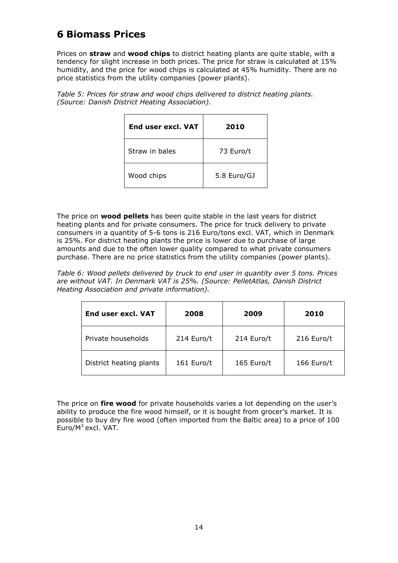# **6 Biomass Prices**

Prices on **straw** and **wood chips** to district heating plants are quite stable, with a tendency for slight increase in both prices. The price for straw is calculated at 15% humidity, and the price for wood chips is calculated at 45% humidity. There are no price statistics from the utility companies (power plants).

*Table 5: Prices for straw and wood chips delivered to district heating plants. (Source: Danish District Heating Association).*

| <b>End user excl. VAT</b> | 2010        |
|---------------------------|-------------|
| Straw in hales            | 73 Euro/t   |
| Wood chips                | 5.8 Euro/GJ |

The price on **wood pellets** has been quite stable in the last years for district heating plants and for private consumers. The price for truck delivery to private consumers in a quantity of 5-6 tons is 216 Euro/tons excl. VAT, which in Denmark is 25%. For district heating plants the price is lower due to purchase of large amounts and due to the often lower quality compared to what private consumers purchase. There are no price statistics from the utility companies (power plants).

*Table 6: Wood pellets delivered by truck to end user in quantity over 5 tons. Prices are without VAT. In Denmark VAT is 25%. (Source: PelletAtlas, Danish District Heating Association and private information).*

| End user excl. VAT      | 2008       | 2009       | 2010       |
|-------------------------|------------|------------|------------|
| Private households      | 214 Euro/t | 214 Euro/t | 216 Euro/t |
| District heating plants | 161 Euro/t | 165 Euro/t | 166 Euro/t |

The price on **fire wood** for private households varies a lot depending on the user"s ability to produce the fire wood himself, or it is bought from grocer's market. It is possible to buy dry fire wood (often imported from the Baltic area) to a price of 100 Euro/M<sup>3</sup> excl. VAT.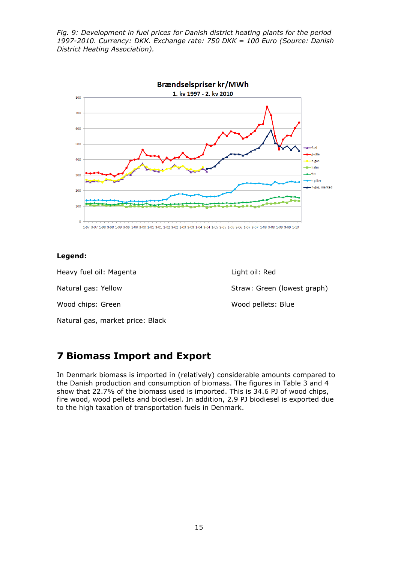*Fig. 9: Development in fuel prices for Danish district heating plants for the period 1997-2010. Currency: DKK. Exchange rate: 750 DKK = 100 Euro (Source: Danish District Heating Association).*



### **Legend:**

Heavy fuel oil: Magenta Light oil: Red Natural gas: Yellow Straw: Green (lowest graph) Wood chips: Green Wood pellets: Blue Natural gas, market price: Black

# **7 Biomass Import and Export**

In Denmark biomass is imported in (relatively) considerable amounts compared to the Danish production and consumption of biomass. The figures in Table 3 and 4 show that 22.7% of the biomass used is imported. This is 34.6 PJ of wood chips, fire wood, wood pellets and biodiesel. In addition, 2.9 PJ biodiesel is exported due to the high taxation of transportation fuels in Denmark.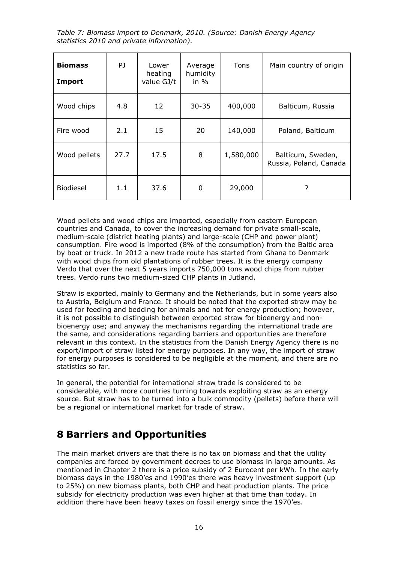*Table 7: Biomass import to Denmark, 2010. (Source: Danish Energy Agency statistics 2010 and private information).*

| <b>Biomass</b><br><b>Import</b> | PJ   | Lower<br>heating<br>value GJ/t | Average<br>humidity<br>in $%$ | Tons      | Main country of origin                      |
|---------------------------------|------|--------------------------------|-------------------------------|-----------|---------------------------------------------|
| Wood chips                      | 4.8  | 12                             | $30 - 35$                     | 400,000   | Balticum, Russia                            |
| Fire wood                       | 2.1  | 15                             | 20                            | 140,000   | Poland, Balticum                            |
| Wood pellets                    | 27.7 | 17.5                           | 8                             | 1,580,000 | Balticum, Sweden,<br>Russia, Poland, Canada |
| <b>Biodiesel</b>                | 1.1  | 37.6                           | 0                             | 29,000    | ?                                           |

Wood pellets and wood chips are imported, especially from eastern European countries and Canada, to cover the increasing demand for private small-scale, medium-scale (district heating plants) and large-scale (CHP and power plant) consumption. Fire wood is imported (8% of the consumption) from the Baltic area by boat or truck. In 2012 a new trade route has started from Ghana to Denmark with wood chips from old plantations of rubber trees. It is the energy company Verdo that over the next 5 years imports 750,000 tons wood chips from rubber trees. Verdo runs two medium-sized CHP plants in Jutland.

Straw is exported, mainly to Germany and the Netherlands, but in some years also to Austria, Belgium and France. It should be noted that the exported straw may be used for feeding and bedding for animals and not for energy production; however, it is not possible to distinguish between exported straw for bioenergy and nonbioenergy use; and anyway the mechanisms regarding the international trade are the same, and considerations regarding barriers and opportunities are therefore relevant in this context. In the statistics from the Danish Energy Agency there is no export/import of straw listed for energy purposes. In any way, the import of straw for energy purposes is considered to be negligible at the moment, and there are no statistics so far.

In general, the potential for international straw trade is considered to be considerable, with more countries turning towards exploiting straw as an energy source. But straw has to be turned into a bulk commodity (pellets) before there will be a regional or international market for trade of straw.

### **8 Barriers and Opportunities**

The main market drivers are that there is no tax on biomass and that the utility companies are forced by government decrees to use biomass in large amounts. As mentioned in Chapter 2 there is a price subsidy of 2 Eurocent per kWh. In the early biomass days in the 1980'es and 1990'es there was heavy investment support (up to 25%) on new biomass plants, both CHP and heat production plants. The price subsidy for electricity production was even higher at that time than today. In addition there have been heavy taxes on fossil energy since the 1970'es.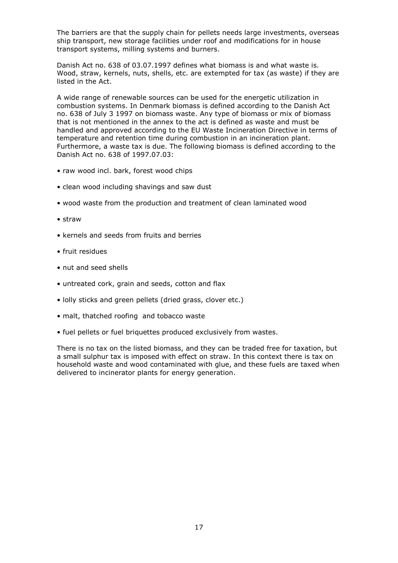The barriers are that the supply chain for pellets needs large investments, overseas ship transport, new storage facilities under roof and modifications for in house transport systems, milling systems and burners.

Danish Act no. 638 of 03.07.1997 defines what biomass is and what waste is. Wood, straw, kernels, nuts, shells, etc. are extempted for tax (as waste) if they are listed in the Act.

A wide range of renewable sources can be used for the energetic utilization in combustion systems. In Denmark biomass is defined according to the Danish Act no. 638 of July 3 1997 on biomass waste. Any type of biomass or mix of biomass that is not mentioned in the annex to the act is defined as waste and must be handled and approved according to the EU Waste Incineration Directive in terms of temperature and retention time during combustion in an incineration plant. Furthermore, a waste tax is due. The following biomass is defined according to the Danish Act no. 638 of 1997.07.03:

- raw wood incl. bark, forest wood chips
- clean wood including shavings and saw dust
- wood waste from the production and treatment of clean laminated wood
- straw
- kernels and seeds from fruits and berries
- fruit residues
- nut and seed shells
- untreated cork, grain and seeds, cotton and flax
- lolly sticks and green pellets (dried grass, clover etc.)
- malt, thatched roofing and tobacco waste
- fuel pellets or fuel briquettes produced exclusively from wastes.

There is no tax on the listed biomass, and they can be traded free for taxation, but a small sulphur tax is imposed with effect on straw. In this context there is tax on household waste and wood contaminated with glue, and these fuels are taxed when delivered to incinerator plants for energy generation.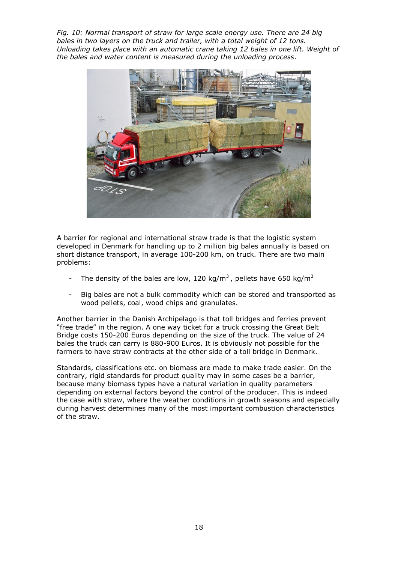*Fig. 10: Normal transport of straw for large scale energy use. There are 24 big bales in two layers on the truck and trailer, with a total weight of 12 tons. Unloading takes place with an automatic crane taking 12 bales in one lift. Weight of the bales and water content is measured during the unloading process*.



A barrier for regional and international straw trade is that the logistic system developed in Denmark for handling up to 2 million big bales annually is based on short distance transport, in average 100-200 km, on truck. There are two main problems:

- The density of the bales are low, 120 kg/m<sup>3</sup>, pellets have 650 kg/m<sup>3</sup>
- Big bales are not a bulk commodity which can be stored and transported as wood pellets, coal, wood chips and granulates.

Another barrier in the Danish Archipelago is that toll bridges and ferries prevent "free trade" in the region. A one way ticket for a truck crossing the Great Belt Bridge costs 150-200 Euros depending on the size of the truck. The value of 24 bales the truck can carry is 880-900 Euros. It is obviously not possible for the farmers to have straw contracts at the other side of a toll bridge in Denmark.

Standards, classifications etc. on biomass are made to make trade easier. On the contrary, rigid standards for product quality may in some cases be a barrier, because many biomass types have a natural variation in quality parameters depending on external factors beyond the control of the producer. This is indeed the case with straw, where the weather conditions in growth seasons and especially during harvest determines many of the most important combustion characteristics of the straw.